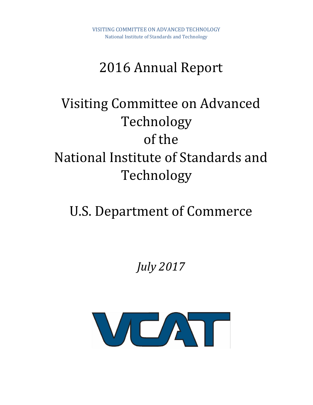## 2016 Annual Report

# Visiting Committee on Advanced Technology of the National Institute of Standards and Technology

# U.S. Department of Commerce

## *July 2017*

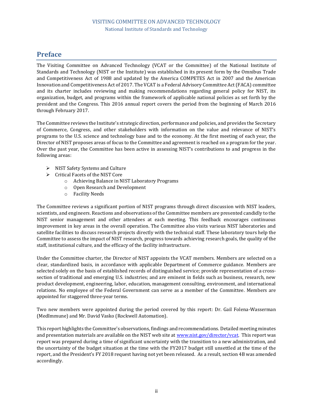### <span id="page-1-0"></span>**Preface**

The Visiting Committee on Advanced Technology (VCAT or the Committee) of the National Institute of Standards and Technology (NIST or the Institute) was established in its present form by the Omnibus Trade and Competitiveness Act of 1988 and updated by the America COMPETES Act in 2007 and the American Innovation and Competitiveness Act of 2017. The VCAT is a Federal Advisory Committee Act (FACA) committee and its charter includes reviewing and making recommendations regarding general policy for NIST, its organization, budget, and programs within the framework of applicable national policies as set forth by the president and the Congress. This 2016 annual report covers the period from the beginning of March 2016 through February 2017.

The Committee reviews the Institute's strategic direction, performance and policies, and provides the Secretary of Commerce, Congress, and other stakeholders with information on the value and relevance of NIST's programs to the U.S. science and technology base and to the economy. At the first meeting of each year, the Director of NIST proposes areas of focus to the Committee and agreement is reached on a program for the year. Over the past year, the Committee has been active in assessing NIST's contributions to and progress in the following areas:

- ➢ NIST Safety Systems and Culture
- ➢ Critical Facets of the NIST Core
	- o Achieving Balance in NIST Laboratory Programs
	- o Open Research and Development
	- o Facility Needs

The Committee reviews a significant portion of NIST programs through direct discussion with NIST leaders, scientists, and engineers. Reactions and observations of the Committee members are presented candidly to the NIST senior management and other attendees at each meeting. This feedback encourages continuous improvement in key areas in the overall operation. The Committee also visits various NIST laboratories and satellite facilities to discuss research projects directly with the technical staff. These laboratory tours help the Committee to assess the impact of NIST research, progress towards achieving research goals, the quality of the staff, institutional culture, and the efficacy of the facility infrastructure.

Under the Committee charter, the Director of NIST appoints the VCAT members. Members are selected on a clear, standardized basis, in accordance with applicable Department of Commerce guidance. Members are selected solely on the basis of established records of distinguished service; provide representation of a crosssection of traditional and emerging U.S. industries; and are eminent in fields such as business, research, new product development, engineering, labor, education, management consulting, environment, and international relations. No employee of the Federal Government can serve as a member of the Committee. Members are appointed for staggered three-year terms.

Two new members were appointed during the period covered by this report: Dr. Gail Folena-Wasserman (MedImmune) and Mr. David Vasko (Rockwell Automation).

This report highlights the Committee's observations, findings and recommendations. Detailed meeting minutes and presentation materials are available on the NIST web site at [www.nist.gov/director/vcat.](http://www.nist.gov/director/vcat) This report was report was prepared during a time of significant uncertainty with the transition to a new administration, and the uncertainty of the budget situation at the time with the FY2017 budget still unsettled at the time of the report, and the President's FY 2018 request having not yet been released. As a result, section 4B was amended accordingly.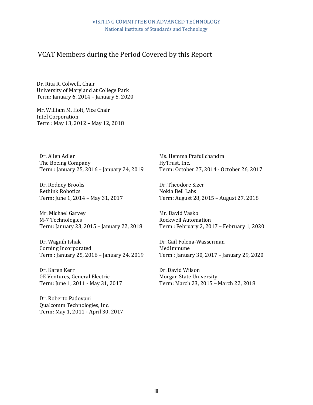#### VCAT Members during the Period Covered by this Report

Dr. Rita R. Colwell, Chair University of Maryland at College Park Term: January 6, 2014 – January 5, 2020

Mr. William M. Holt, Vice Chair Intel Corporation Term : May 13, 2012 – May 12, 2018

Dr. Allen Adler The Boeing Company Term : January 25, 2016 – January 24, 2019

Dr. Rodney Brooks Rethink Robotics Term: June 1, 2014 – May 31, 2017

Mr. Michael Garvey M-7 Technologies Term: January 23, 2015 – January 22, 2018

Dr. Waguih Ishak Corning Incorporated Term : January 25, 2016 – January 24, 2019

Dr. Karen Kerr GE Ventures, General Electric Term: June 1, 2011 - May 31, 2017

Dr. Roberto Padovani Qualcomm Technologies, Inc. Term: May 1, 2011 - April 30, 2017 Ms. Hemma Prafullchandra HyTrust, Inc. Term: October 27, 2014 - October 26, 2017

Dr. Theodore Sizer Nokia Bell Labs Term: August 28, 2015 – August 27, 2018

Mr. David Vasko Rockwell Automation Term : February 2, 2017 – February 1, 2020

Dr. Gail Folena-Wasserman MedImmune Term : January 30, 2017 – January 29, 2020

Dr. David Wilson Morgan State University Term: March 23, 2015 – March 22, 2018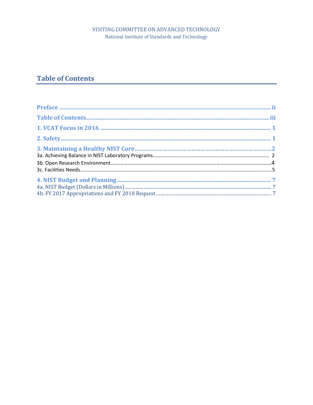#### VISITING COMMITTEE ON ADVANCED TECHNOLOGY National Institute of Standards and Technology

### <span id="page-3-0"></span>**Table of Contents**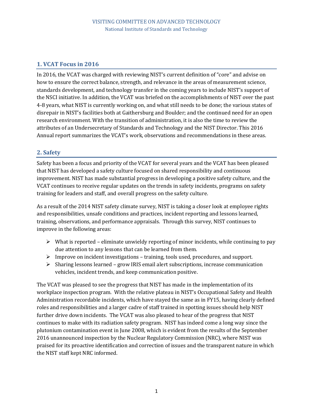#### <span id="page-4-0"></span>**1. VCAT Focus in 2016**

In 2016, the VCAT was charged with reviewing NIST's current definition of "core" and advise on how to ensure the correct balance, strength, and relevance in the areas of measurement science, standards development, and technology transfer in the coming years to include NIST's support of the NSCI initiative. In addition, the VCAT was briefed on the accomplishments of NIST over the past 4-8 years, what NIST is currently working on, and what still needs to be done; the various states of disrepair in NIST's facilities both at Gaithersburg and Boulder; and the continued need for an open research environment. With the transition of administration, it is also the time to review the attributes of an Undersecretary of Standards and Technology and the NIST Director. This 2016 Annual report summarizes the VCAT's work, observations and recommendations in these areas.

#### <span id="page-4-1"></span>**2. Safety**

Safety has been a focus and priority of the VCAT for several years and the VCAT has been pleased that NIST has developed a safety culture focused on shared responsibility and continuous improvement. NIST has made substantial progress in developing a positive safety culture, and the VCAT continues to receive regular updates on the trends in safety incidents, programs on safety training for leaders and staff, and overall progress on the safety culture.

As a result of the 2014 NIST safety climate survey, NIST is taking a closer look at employee rights and responsibilities, unsafe conditions and practices, incident reporting and lessons learned, training, observations, and performance appraisals. Through this survey, NIST continues to improve in the following areas:

- $\triangleright$  What is reported eliminate unwieldy reporting of minor incidents, while continuing to pay due attention to any lessons that can be learned from them.
- $\triangleright$  Improve on incident investigations training, tools used, procedures, and support.
- ➢ Sharing lessons learned grow IRIS email alert subscriptions, increase communication vehicles, incident trends, and keep communication positive.

The VCAT was pleased to see the progress that NIST has made in the implementation of its workplace inspection program. With the relative plateau in NIST's Occupational Safety and Health Administration recordable incidents, which have stayed the same as in FY15, having clearly defined roles and responsibilities and a larger cadre of staff trained in spotting issues should help NIST further drive down incidents. The VCAT was also pleased to hear of the progress that NIST continues to make with its radiation safety program. NIST has indeed come a long way since the plutonium contamination event in June 2008, which is evident from the results of the September 2016 unannounced inspection by the Nuclear Regulatory Commission (NRC), where NIST was praised for its proactive identification and correction of issues and the transparent nature in which the NIST staff kept NRC informed.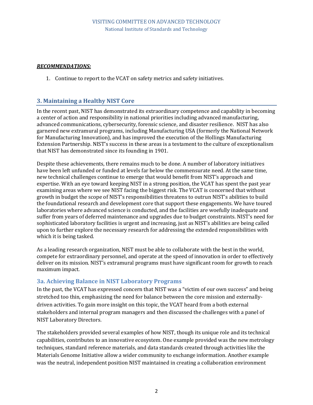#### *RECOMMENDATIONS:*

1. Continue to report to the VCAT on safety metrics and safety initiatives.

#### **3. Maintaining a Healthy NIST Core**

In the recent past, NIST has demonstrated its extraordinary competence and capability in becoming a center of action and responsibility in national priorities including advanced manufacturing, advanced communications, cybersecurity, forensic science, and disaster resilience. NIST has also garnered new extramural programs, including Manufacturing USA (formerly the National Network for Manufacturing Innovation), and has improved the execution of the Hollings Manufacturing Extension Partnership. NIST's success in these areas is a testament to the culture of exceptionalism that NIST has demonstrated since its founding in 1901.

Despite these achievements, there remains much to be done. A number of laboratory initiatives have been left unfunded or funded at levels far below the commensurate need. At the same time, new technical challenges continue to emerge that would benefit from NIST's approach and expertise. With an eye toward keeping NIST in a strong position, the VCAT has spent the past year examining areas where we see NIST facing the biggest risk. The VCAT is concerned that without growth in budget the scope of NIST's responsibilities threatens to outrun NIST's abilities to build the foundational research and development core that support these engagements. We have toured laboratories where advanced science is conducted, and the facilities are woefully inadequate and suffer from years of deferred maintenance and upgrades due to budget constraints. NIST's need for sophisticated laboratory facilities is urgent and increasing, just as NIST's abilities are being called upon to further explore the necessary research for addressing the extended responsibilities with which it is being tasked.

As a leading research organization, NIST must be able to collaborate with the best in the world, compete for extraordinary personnel, and operate at the speed of innovation in order to effectively deliver on its mission. NIST's extramural programs must have significant room for growth to reach maximum impact.

#### **3a. Achieving Balance in NIST Laboratory Programs**

In the past, the VCAT has expressed concern that NIST was a "victim of our own success" and being stretched too thin, emphasizing the need for balance between the core mission and externallydriven activities. To gain more insight on this topic, the VCAT heard from a both external stakeholders and internal program managers and then discussed the challenges with a panel of NIST Laboratory Directors.

The stakeholders provided several examples of how NIST, though its unique role and its technical capabilities, contributes to an innovative ecosystem. One example provided was the new metrology techniques, standard reference materials, and data standards created through activities like the Materials Genome Initiative allow a wider community to exchange information. Another example was the neutral, independent position NIST maintained in creating a collaboration environment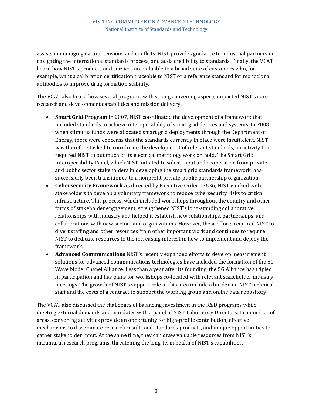assists in managing natural tensions and conflicts. NIST provides guidance to industrial partners on navigating the international standards process, and adds credibility to standards. Finally, the VCAT heard how NIST's products and services are valuable to a broad suite of customers who, for example, want a calibration certification traceable to NIST or a reference standard for monoclonal antibodies to improve drug formation stability.

The VCAT also heard how several programs with strong convening aspects impacted NIST's core research and development capabilities and mission delivery.

- **Smart Grid Program** In 2007, NIST coordinated the development of a framework that included standards to achieve interoperability of smart grid devices and systems. In 2008, when stimulus funds were allocated smart grid deployments through the Department of Energy, there were concerns that the standards currently in place were insufficient. NIST was therefore tasked to coordinate the development of relevant standards, an activity that required NIST to put much of its electrical metrology work on hold. The Smart Grid Interoperability Panel, which NIST initiated to solicit input and cooperation from private and public sector stakeholders in developing the smart grid standards framework, has successfully been transitioned to a nonprofit private-public partnership organization.
- **Cybersecurity Framework** As directed by Executive Order 13636, NIST worked with stakeholders to develop a voluntary framework to reduce cybersecurity risks to critical infrastructure. This process, which included workshops throughout the country and other forms of stakeholder engagement, strengthened NIST's long-standing collaborative relationships with industry and helped it establish new relationships, partnerships, and collaborations with new sectors and organizations. However, these efforts required NIST to divert staffing and other resources from other important work and continues to require NIST to dedicate resources to the increasing interest in how to implement and deploy the framework.
- **Advanced Communications** NIST's recently expanded efforts to develop measurement solutions for advanced communications technologies have included the formation of the 5G Wave Model Chanel Alliance. Less than a year after its founding, the 5G Alliance has tripled in participation and has plans for workshops co-located with relevant stakeholder industry meetings. The growth of NIST's support role in this area include a burden on NIST technical staff and the costs of a contract to support the working group and online data repository.

The VCAT also discussed the challenges of balancing investment in the R&D programs while meeting external demands and mandates with a panel of NIST Laboratory Directors. In a number of areas, convening activities provide an opportunity for high-profile contribution, effective mechanisms to disseminate research results and standards products, and unique opportunities to gather stakeholder input. At the same time, they can draw valuable resources from NIST's intramural research programs, threatening the long-term health of NIST's capabilities.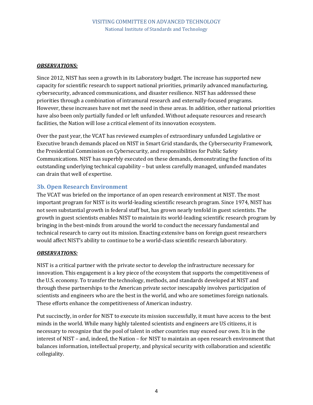#### *OBSERVATIONS:*

Since 2012, NIST has seen a growth in its Laboratory budget. The increase has supported new capacity for scientific research to support national priorities, primarily advanced manufacturing, cybersecurity, advanced communications, and disaster resilience. NIST has addressed these priorities through a combination of intramural research and externally-focused programs. However, these increases have not met the need in these areas. In addition, other national priorities have also been only partially funded or left unfunded. Without adequate resources and research facilities, the Nation will lose a critical element of its innovation ecosystem.

Over the past year, the VCAT has reviewed examples of extraordinary unfunded Legislative or Executive branch demands placed on NIST in Smart Grid standards, the Cybersecurity Framework, the Presidential Commission on Cybersecurity, and responsibilities for Public Safety Communications. NIST has superbly executed on these demands, demonstrating the function of its outstanding underlying technical capability – but unless carefully managed, unfunded mandates can drain that well of expertise.

#### **3b. Open Research Environment**

The VCAT was briefed on the importance of an open research environment at NIST. The most important program for NIST is its world-leading scientific research program. Since 1974, NIST has not seen substantial growth in federal staff but, has grown nearly tenfold in guest scientists. The growth in guest scientists enables NIST to maintain its world-leading scientific research program by bringing in the best-minds from around the world to conduct the necessary fundamental and technical research to carry out its mission. Enacting extensive bans on foreign guest researchers would affect NIST's ability to continue to be a world-class scientific research laboratory.

#### *OBSERVATIONS:*

NIST is a critical partner with the private sector to develop the infrastructure necessary for innovation. This engagement is a key piece of the ecosystem that supports the competitiveness of the U.S. economy. To transfer the technology, methods, and standards developed at NIST and through these partnerships to the American private sector inescapably involves participation of scientists and engineers who are the best in the world, and who are sometimes foreign nationals. These efforts enhance the competitiveness of American industry.

Put succinctly, in order for NIST to execute its mission successfully, it must have access to the best minds in the world. While many highly talented scientists and engineers are US citizens, it is necessary to recognize that the pool of talent in other countries may exceed our own. It is in the interest of NIST – and, indeed, the Nation – for NIST to maintain an open research environment that balances information, intellectual property, and physical security with collaboration and scientific collegiality.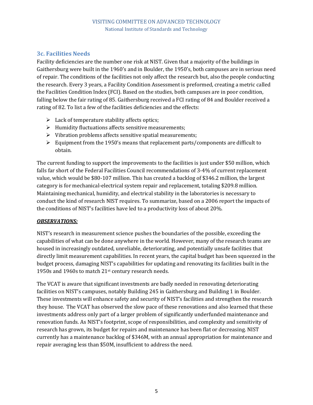#### <span id="page-8-0"></span>**3c. Facilities Needs**

Facility deficiencies are the number one risk at NIST. Given that a majority of the buildings in Gaithersburg were built in the 1960's and in Boulder, the 1950's, both campuses are in serious need of repair. The conditions of the facilities not only affect the research but, also the people conducting the research. Every 3 years, a Facility Condition Assessment is preformed, creating a metric called the Facilities Condition Index (FCI). Based on the studies, both campuses are in poor condition, falling below the fair rating of 85. Gaithersburg received a FCI rating of 84 and Boulder received a rating of 82. To list a few of the facilities deficiencies and the effects:

- $\blacktriangleright$  Lack of temperature stability affects optics;
- ➢ Humidity fluctuations affects sensitive measurements;
- ➢ Vibration problems affects sensitive spatial measurements;
- $\triangleright$  Equipment from the 1950's means that replacement parts/components are difficult to obtain.

The current funding to support the improvements to the facilities is just under \$50 million, which falls far short of the Federal Facilities Council recommendations of 3-4% of current replacement value, which would be \$80-107 million. This has created a backlog of \$346.2 million, the largest category is for mechanical-electrical system repair and replacement, totaling \$209.8 million. Maintaining mechanical, humidity, and electrical stability in the laboratories is necessary to conduct the kind of research NIST requires. To summarize, based on a 2006 report the impacts of the conditions of NIST's facilities have led to a productivity loss of about 20%.

#### *OBSERVATIONS:*

NIST's research in measurement science pushes the boundaries of the possible, exceeding the capabilities of what can be done anywhere in the world. However, many of the research teams are housed in increasingly outdated, unreliable, deteriorating, and potentially unsafe facilities that directly limit measurement capabilities. In recent years, the capital budget has been squeezed in the budget process, damaging NIST's capabilities for updating and renovating its facilities built in the 1950s and 1960s to match 21st century research needs.

The VCAT is aware that significant investments are badly needed in renovating deteriorating facilities on NIST's campuses, notably Building 245 in Gaithersburg and Building 1 in Boulder. These investments will enhance safety and security of NIST's facilities and strengthen the research they house. The VCAT has observed the slow pace of these renovations and also learned that these investments address only part of a larger problem of significantly underfunded maintenance and renovation funds. As NIST's footprint, scope of responsibilities, and complexity and sensitivity of research has grown, its budget for repairs and maintenance has been flat or decreasing. NIST currently has a maintenance backlog of \$346M, with an annual appropriation for maintenance and repair averaging less than \$50M, insufficient to address the need.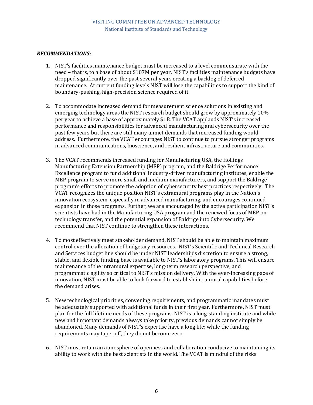#### *RECOMMENDATIONS:*

- 1. NIST's facilities maintenance budget must be increased to a level commensurate with the need – that is, to a base of about \$107M per year. NIST's facilities maintenance budgets have dropped significantly over the past several years creating a backlog of deferred maintenance. At current funding levels NIST will lose the capabilities to support the kind of boundary-pushing, high-precision science required of it.
- 2. To accommodate increased demand for measurement science solutions in existing and emerging technology areas the NIST research budget should grow by approximately 10% per year to achieve a base of approximately \$1B. The VCAT applauds NIST's increased performance and responsibilities for advanced manufacturing and cybersecurity over the past few years but there are still many unmet demands that increased funding would address. Furthermore, the VCAT encourages NIST to continue to pursue stronger programs in advanced communications, bioscience, and resilient infrastructure and communities.
- 3. The VCAT recommends increased funding for Manufacturing USA, the Hollings Manufacturing Extension Partnership (MEP) program, and the Baldrige Performance Excellence program to fund additional industry-driven manufacturing institutes, enable the MEP program to serve more small and medium manufacturers, and support the Baldrige program's efforts to promote the adoption of cybersecurity best practices respectively. The VCAT recognizes the unique position NIST's extramural programs play in the Nation's innovation ecosystem, especially in advanced manufacturing, and encourages continued expansion in those programs. Further, we are encouraged by the active participation NIST's scientists have had in the Manufacturing USA program and the renewed focus of MEP on technology transfer, and the potential expansion of Baldrige into Cybersecurity. We recommend that NIST continue to strengthen these interactions.
- 4. To most effectively meet stakeholder demand, NIST should be able to maintain maximum control over the allocation of budgetary resources. NIST's Scientific and Technical Research and Services budget line should be under NIST leadership's discretion to ensure a strong, stable, and flexible funding base is available to NIST's laboratory programs. This will ensure maintenance of the intramural expertise, long-term research perspective, and programmatic agility so critical to NIST's mission delivery. With the ever-increasing pace of innovation, NIST must be able to look forward to establish intramural capabilities before the demand arises.
- 5. New technological priorities, convening requirements, and programmatic mandates must be adequately supported with additional funds in their first year. Furthermore, NIST must plan for the full lifetime needs of these programs. NIST is a long-standing institute and while new and important demands always take priority, previous demands cannot simply be abandoned. Many demands of NIST's expertise have a long life; while the funding requirements may taper off, they do not become zero.
- 6. NIST must retain an atmosphere of openness and collaboration conducive to maintaining its ability to work with the best scientists in the world. The VCAT is mindful of the risks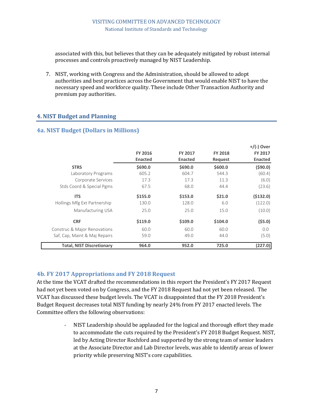associated with this, but believes that they can be adequately mitigated by robust internal processes and controls proactively managed by NIST Leadership.

7. NIST, working with Congress and the Administration, should be allowed to adopt authorities and best practices across the Government that would enable NIST to have the necessary speed and workforce quality. These include Other Transaction Authority and premium pay authorities.

#### <span id="page-10-0"></span>**4. NIST Budget and Planning**

#### <span id="page-10-1"></span>**4a. NIST Budget (Dollars in Millions)**

|                                  |                |                |                | $+$ /(-) Over  |
|----------------------------------|----------------|----------------|----------------|----------------|
|                                  | <b>FY 2016</b> | <b>FY 2017</b> | <b>FY 2018</b> | <b>FY 2017</b> |
|                                  | <b>Enacted</b> | <b>Enacted</b> | Request        | <b>Enacted</b> |
| <b>STRS</b>                      | \$690.0        | \$690.0        | \$600.0        | (\$90.0)       |
| Laboratory Programs              | 605.2          | 604.7          | 544.3          | (60.4)         |
| Corporate Services               | 17.3           | 17.3           | 11.3           | (6.0)          |
| Stds Coord & Special Pgms        | 67.5           | 68.0           | 44.4           | (23.6)         |
| <b>ITS</b>                       | \$155.0        | \$153.0        | \$21.0         | (5132.0)       |
| Hollings Mfg Ext Partnership     | 130.0          | 128.0          | 6.0            | (122.0)        |
| Manufacturing USA                | 25.0           | 25.0           | 15.0           | (10.0)         |
| <b>CRF</b>                       | \$119.0        | \$109.0        | \$104.0        | (55.0)         |
| Construc & Major Renovations     | 60.0           | 60.0           | 60.0           | 0.0            |
| Saf, Cap, Maint & Maj Repairs    | 59.0           | 49.0           | 44.0           | (5.0)          |
| <b>Total, NIST Discretionary</b> | 964.0          | 952.0          | 725.0          | (227.0)        |

#### <span id="page-10-2"></span>**4b. FY 2017 Appropriations and FY 2018 Request**

At the time the VCAT drafted the recommendations in this report the President's FY 2017 Request had not yet been voted on by Congress, and the FY 2018 Request had not yet been released. The VCAT has discussed these budget levels. The VCAT is disappointed that the FY 2018 President's Budget Request decreases total NIST funding by nearly 24% from FY 2017 enacted levels. The Committee offers the following observations:

> - NIST Leadership should be applauded for the logical and thorough effort they made to accommodate the cuts required by the President's FY 2018 Budget Request. NIST, led by Acting Director Rochford and supported by the strong team of senior leaders at the Associate Director and Lab Director levels, was able to identify areas of lower priority while preserving NIST's core capabilities.